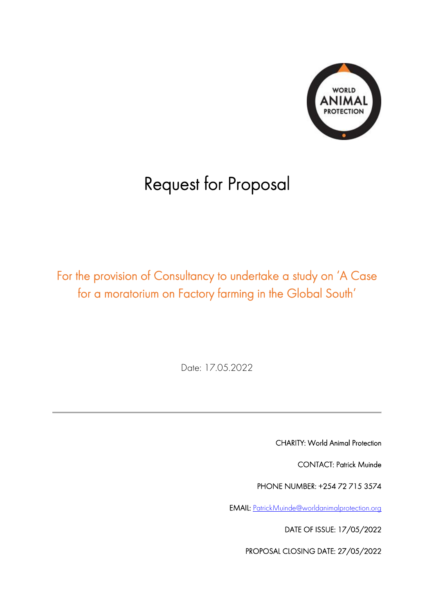

# Request for Proposal

For the provision of Consultancy to undertake a study on 'A Case for a moratorium on Factory farming in the Global South'

Date: 17.05.2022

CHARITY: World Animal Protection

CONTACT: Patrick Muinde

PHONE NUMBER: +254 72 715 3574

EMAIL: [PatrickMuinde@worldanimalprotection.org](mailto:PatrickMuinde@worldanimalprotection.org)

DATE OF ISSUE: 17/05/2022

PROPOSAL CLOSING DATE: 27/05/2022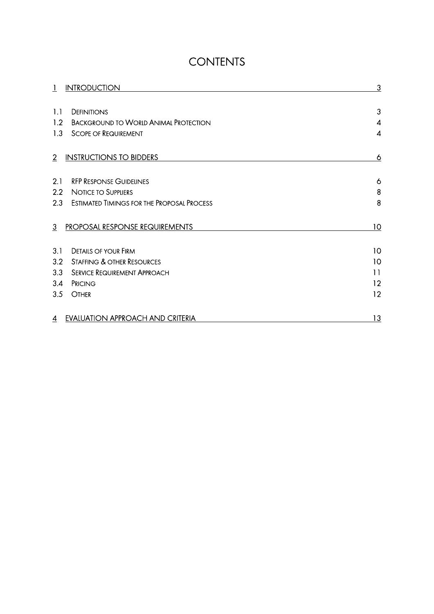# **CONTENTS**

|                | <b>INTRODUCTION</b>                               | 3                |
|----------------|---------------------------------------------------|------------------|
|                |                                                   |                  |
| 1.1            | <b>DEFINITIONS</b>                                | 3                |
| 1.2            | <b>BACKGROUND TO WORLD ANIMAL PROTECTION</b>      | 4                |
| 1.3            | <b>SCOPE OF REQUIREMENT</b>                       | $\boldsymbol{4}$ |
| $\overline{2}$ | <b>INSTRUCTIONS TO BIDDERS</b>                    | 6                |
| 2.1            | <b>RFP RESPONSE GUIDELINES</b>                    | 6                |
| 2.2            | <b>NOTICE TO SUPPLIERS</b>                        | 8                |
| 2.3            | <b>ESTIMATED TIMINGS FOR THE PROPOSAL PROCESS</b> | 8                |
| $\overline{3}$ | <b>PROPOSAL RESPONSE REQUIREMENTS</b>             | 10               |
| 3.1            | <b>DETAILS OF YOUR FIRM</b>                       | 10               |
| 3.2            | STAFFING & OTHER RESOURCES                        | 10               |
| 3.3            | <b>SERVICE REQUIREMENT APPROACH</b>               | $\overline{11}$  |
| 3.4            | PRICING                                           | 12               |
| 3.5            | <b>OTHER</b>                                      | 12               |
| 4              | <b>EVALUATION APPROACH AND CRITERIA</b>           | 13               |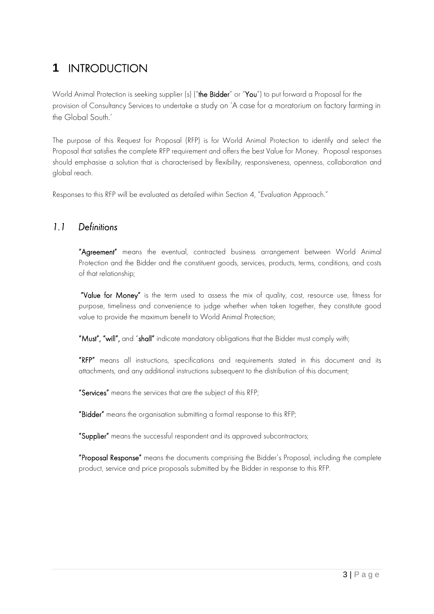# <span id="page-2-0"></span>**1** INTRODUCTION

World Animal Protection is seeking supplier (s) ("the Bidder" or "You") to put forward a Proposal for the provision of Consultancy Services to undertake a study on 'A case for a moratorium on factory farming in the Global South.'

The purpose of this Request for Proposal (RFP) is for World Animal Protection to identify and select the Proposal that satisfies the complete RFP requirement and offers the best Value for Money. Proposal responses should emphasise a solution that is characterised by flexibility, responsiveness, openness, collaboration and global reach.

Responses to this RFP will be evaluated as detailed within Section 4, "Evaluation Approach."

### <span id="page-2-1"></span>*1.1 Definitions*

"Agreement" means the eventual, contracted business arrangement between World Animal Protection and the Bidder and the constituent goods, services, products, terms, conditions, and costs of that relationship;

 "Value for Money" is the term used to assess the mix of quality, cost, resource use, fitness for purpose, timeliness and convenience to judge whether when taken together, they constitute good value to provide the maximum benefit to World Animal Protection;

"Must", "will", and "shall" indicate mandatory obligations that the Bidder must comply with;

"RFP" means all instructions, specifications and requirements stated in this document and its attachments, and any additional instructions subsequent to the distribution of this document;

"Services" means the services that are the subject of this RFP;

"Bidder" means the organisation submitting a formal response to this RFP;

"Supplier" means the successful respondent and its approved subcontractors;

"Proposal Response" means the documents comprising the Bidder's Proposal, including the complete product, service and price proposals submitted by the Bidder in response to this RFP.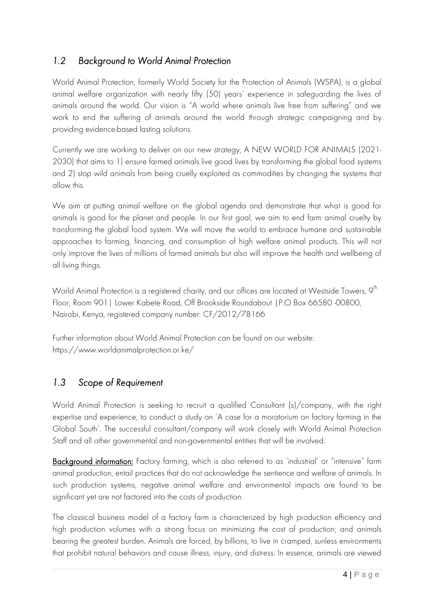# <span id="page-3-0"></span>*1.2 Background to World Animal Protection*

World Animal Protection, formerly World Society for the Protection of Animals (WSPA), is a global animal welfare organization with nearly fifty (50) years' experience in safeguarding the lives of animals around the world. Our vision is "A world where animals live free from suffering" and we work to end the suffering of animals around the world through strategic campaigning and by providing evidence-based lasting solutions.

Currently we are working to deliver on our new strategy, A NEW WORLD FOR ANIMALS (2021- 2030) that aims to 1) ensure farmed animals live good lives by transforming the global food systems and 2) stop wild animals from being cruelly exploited as commodities by changing the systems that allow this.

We aim at putting animal welfare on the global agenda and demonstrate that what is good for animals is good for the planet and people. In our first goal, we aim to end farm animal cruelty by transforming the global food system. We will move the world to embrace humane and sustainable approaches to farming, financing, and consumption of high welfare animal products. This will not only improve the lives of millions of farmed animals but also will improve the health and wellbeing of all living things.

World Animal Protection is a registered charity, and our offices are located at Westside Towers, 9 $^{\rm th}$ Floor, Room 901| Lower Kabete Road, Off Brookside Roundabout |P.O Box 66580 -00800, Nairobi, Kenya, registered company number: CF/2012/78166

Further information about World Animal Protection can be found on our website: https://www.worldanimalprotection.or.ke/

# <span id="page-3-1"></span>*1.3 Scope of Requirement*

World Animal Protection is seeking to recruit a qualified Consultant (s)/company, with the right expertise and experience, to conduct a study on 'A case for a moratorium on factory farming in the Global South'. The successful consultant/company will work closely with World Animal Protection Staff and all other governmental and non-governmental entities that will be involved.

Background information: Factory farming, which is also referred to as 'industrial' or "intensive" farm animal production, entail practices that do not acknowledge the sentience and welfare of animals. In such production systems, negative animal welfare and environmental impacts are found to be significant yet are not factored into the costs of production.

The classical business model of a factory farm is characterized by high production efficiency and high production volumes with a strong focus on minimizing the cost of production; and animals bearing the greatest burden. Animals are forced, by billions, to live in cramped, sunless environments that prohibit natural behaviors and cause illness, injury, and distress. In essence, animals are viewed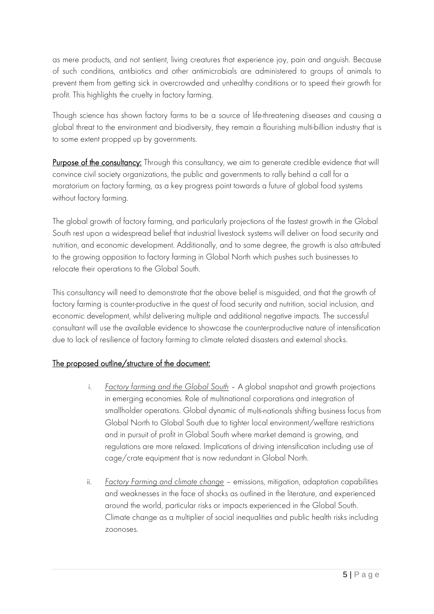as mere products, and not sentient, living creatures that experience joy, pain and anguish. Because of such conditions, antibiotics and other antimicrobials are administered to groups of animals to prevent them from getting sick in overcrowded and unhealthy conditions or to speed their growth for profit. This highlights the cruelty in factory farming.

Though science has shown factory farms to be a source of life-threatening diseases and causing a global threat to the environment and biodiversity, they remain a flourishing multi-billion industry that is to some extent propped up by governments.

Purpose of the consultancy: Through this consultancy, we aim to generate credible evidence that will convince civil society organizations, the public and governments to rally behind a call for a moratorium on factory farming, as a key progress point towards a future of global food systems without factory farming.

The global growth of factory farming, and particularly projections of the fastest growth in the Global South rest upon a widespread belief that industrial livestock systems will deliver on food security and nutrition, and economic development. Additionally, and to some degree, the growth is also attributed to the growing opposition to factory farming in Global North which pushes such businesses to relocate their operations to the Global South.

This consultancy will need to demonstrate that the above belief is misguided, and that the growth of factory farming is counter-productive in the quest of food security and nutrition, social inclusion, and economic development, whilst delivering multiple and additional negative impacts. The successful consultant will use the available evidence to showcase the counterproductive nature of intensification due to lack of resilience of factory farming to climate related disasters and external shocks.

#### The proposed outline/structure of the document:

- i. *Factory farming and the Global South* A global snapshot and growth projections in emerging economies. Role of multinational corporations and integration of smallholder operations. Global dynamic of multi-nationals shifting business focus from Global North to Global South due to tighter local environment/welfare restrictions and in pursuit of profit in Global South where market demand is growing, and regulations are more relaxed. Implications of driving intensification including use of cage/crate equipment that is now redundant in Global North.
- ii. *Factory Farming and climate change* emissions, mitigation, adaptation capabilities and weaknesses in the face of shocks as outlined in the literature, and experienced around the world, particular risks or impacts experienced in the Global South. Climate change as a multiplier of social inequalities and public health risks including zoonoses.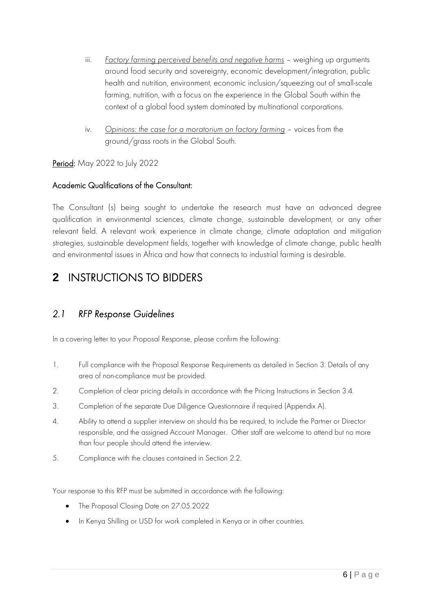- iii. *Factory farming perceived benefits and negative harms* weighing up arguments around food security and sovereignty, economic development/integration, public health and nutrition, environment, economic inclusion/squeezing out of small-scale farming, nutrition, with a focus on the experience in the Global South within the context of a global food system dominated by multinational corporations.
- iv. *Opinions: the case for a moratorium on factory farming* voices from the ground/grass roots in the Global South.

#### Period: May 2022 to July 2022

#### Academic Qualifications of the Consultant:

The Consultant (s) being sought to undertake the research must have an advanced degree qualification in environmental sciences, climate change, sustainable development, or any other relevant field. A relevant work experience in climate change, climate adaptation and mitigation strategies, sustainable development fields, together with knowledge of climate change, public health and environmental issues in Africa and how that connects to industrial farming is desirable.

# <span id="page-5-0"></span>**2** INSTRUCTIONS TO BIDDERS

# <span id="page-5-1"></span>*2.1 RFP Response Guidelines*

In a covering letter to your Proposal Response, please confirm the following:

- 1. Full compliance with the Proposal Response Requirements as detailed in Section 3. Details of any area of non-compliance must be provided.
- 2. Completion of clear pricing details in accordance with the Pricing Instructions in Section 3.4.
- 3. Completion of the separate Due Diligence Questionnaire if required (Appendix A).
- 4. Ability to attend a supplier interview on should this be required, to include the Partner or Director responsible, and the assigned Account Manager. Other staff are welcome to attend but no more than four people should attend the interview.
- 5. Compliance with the clauses contained in Section 2.2.

Your response to this RFP must be submitted in accordance with the following:

- The Proposal Closing Date on 27.05.2022
- In Kenya Shilling or USD for work completed in Kenya or in other countries.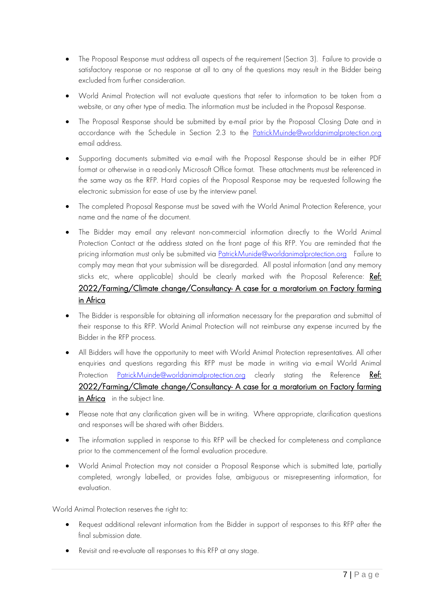- The Proposal Response must address all aspects of the requirement (Section 3). Failure to provide a satisfactory response or no response at all to any of the questions may result in the Bidder being excluded from further consideration.
- World Animal Protection will not evaluate questions that refer to information to be taken from a website, or any other type of media. The information must be included in the Proposal Response.
- The Proposal Response should be submitted by e-mail prior by the Proposal Closing Date and in accordance with the Schedule in Section 2.3 to the [PatrickMuinde@worldanimalprotection.org](mailto:PatrickMuinde@worldanimalprotection.org) email address.
- Supporting documents submitted via e-mail with the Proposal Response should be in either PDF format or otherwise in a read-only Microsoft Office format. These attachments must be referenced in the same way as the RFP. Hard copies of the Proposal Response may be requested following the electronic submission for ease of use by the interview panel.
- The completed Proposal Response must be saved with the World Animal Protection Reference, your name and the name of the document.
- The Bidder may email any relevant non-commercial information directly to the World Animal Protection Contact at the address stated on the front page of this RFP. You are reminded that the pricing information must only be submitted via [PatrickMunide@worldanimalprotection.org](mailto:PatrickMunide@worldanimalprotection.org) Failure to comply may mean that your submission will be disregarded. All postal information (and any memory sticks etc, where applicable) should be clearly marked with the Proposal Reference: Ref: 2022/Farming/Climate change/Consultancy- A case for a moratorium on Factory farming in Africa
- The Bidder is responsible for obtaining all information necessary for the preparation and submittal of their response to this RFP. World Animal Protection will not reimburse any expense incurred by the Bidder in the RFP process.
- All Bidders will have the opportunity to meet with World Animal Protection representatives. All other enquiries and questions regarding this RFP must be made in writing via e-mail World Animal Protection [PatrickMuinde@worldanimalprotection.org](mailto:PatrickMuinde@worldanimalprotection.org) clearly stating the Reference Ref: 2022/Farming/Climate change/Consultancy- A case for a moratorium on Factory farming in Africa in the subject line.
- Please note that any clarification given will be in writing. Where appropriate, clarification questions and responses will be shared with other Bidders.
- The information supplied in response to this RFP will be checked for completeness and compliance prior to the commencement of the formal evaluation procedure.
- World Animal Protection may not consider a Proposal Response which is submitted late, partially completed, wrongly labelled, or provides false, ambiguous or misrepresenting information, for evaluation.

World Animal Protection reserves the right to:

- Request additional relevant information from the Bidder in support of responses to this RFP after the final submission date.
- Revisit and re-evaluate all responses to this RFP at any stage.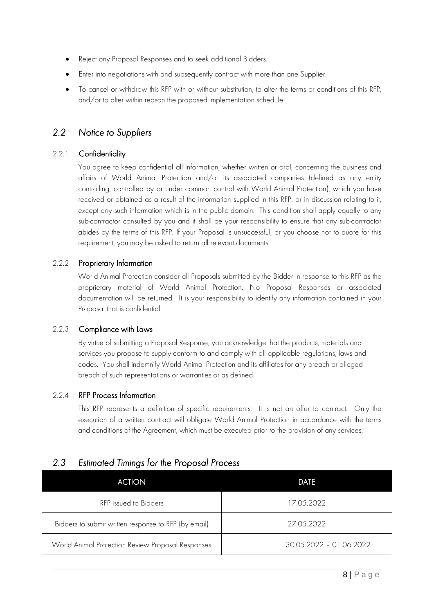- Reject any Proposal Responses and to seek additional Bidders.
- Enter into negotiations with and subsequently contract with more than one Supplier.
- To cancel or withdraw this RFP with or without substitution, to alter the terms or conditions of this RFP, and/or to alter within reason the proposed implementation schedule.

### <span id="page-7-0"></span>*2.2 Notice to Suppliers*

#### 2.2.1 Confidentiality

You agree to keep confidential all information, whether written or oral, concerning the business and affairs of World Animal Protection and/or its associated companies (defined as any entity controlling, controlled by or under common control with World Animal Protection), which you have received or obtained as a result of the information supplied in this RFP, or in discussion relating to it, except any such information which is in the public domain. This condition shall apply equally to any sub-contractor consulted by you and it shall be your responsibility to ensure that any sub-contractor abides by the terms of this RFP. If your Proposal is unsuccessful, or you choose not to quote for this requirement, you may be asked to return all relevant documents.

#### 2.2.2 Proprietary Information

World Animal Protection consider all Proposals submitted by the Bidder in response to this RFP as the proprietary material of World Animal Protection. No Proposal Responses or associated documentation will be returned. It is your responsibility to identify any information contained in your Proposal that is confidential.

#### 2.2.3 Compliance with Laws

By virtue of submitting a Proposal Response, you acknowledge that the products, materials and services you propose to supply conform to and comply with all applicable regulations, laws and codes. You shall indemnify World Animal Protection and its affiliates for any breach or alleged breach of such representations or warranties or as defined.

#### 2.2.4 RFP Process Information

This RFP represents a definition of specific requirements. It is not an offer to contract. Only the execution of a written contract will obligate World Animal Protection in accordance with the terms and conditions of the Agreement, which must be executed prior to the provision of any services.

# <span id="page-7-1"></span>*2.3 Estimated Timings for the Proposal Process*

| <b>ACTION</b>                                        | DATE                    |
|------------------------------------------------------|-------------------------|
| RFP issued to Bidders                                | 17.05.2022              |
| Bidders to submit written response to RFP (by email) | 27.05.2022              |
| World Animal Protection Review Proposal Responses    | 30.05.2022 - 01.06.2022 |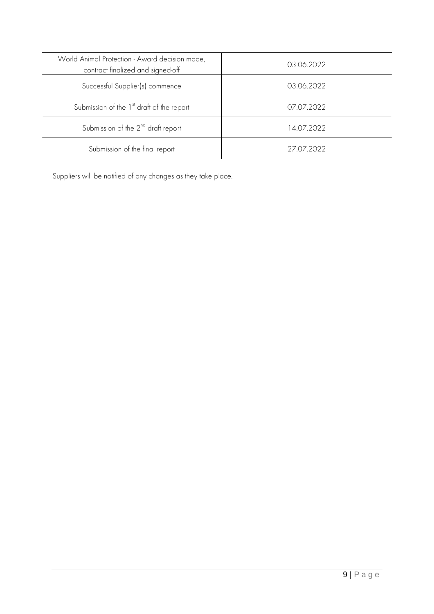| World Animal Protection - Award decision made,<br>contract finalized and signed-off | 03.06.2022 |
|-------------------------------------------------------------------------------------|------------|
| Successful Supplier(s) commence                                                     | 03.06.2022 |
| Submission of the 1 <sup>st</sup> draft of the report                               | 07.07.2022 |
| Submission of the $2^{nd}$ draft report                                             | 14.07.2022 |
| Submission of the final report                                                      | 27.07.2022 |

Suppliers will be notified of any changes as they take place.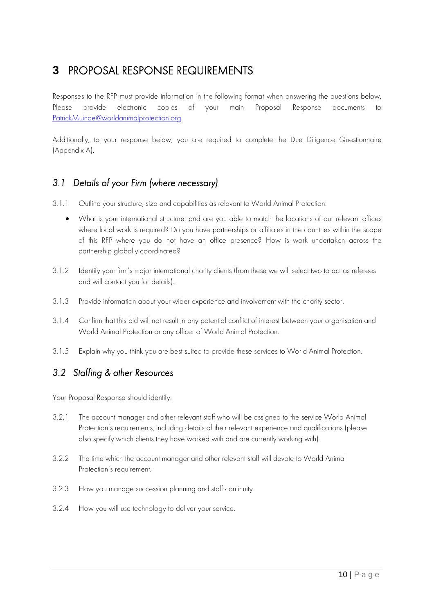# <span id="page-9-0"></span>**3** PROPOSAL RESPONSE REQUIREMENTS

Responses to the RFP must provide information in the following format when answering the questions below. Please provide electronic copies of your main Proposal Response documents to [PatrickMuinde@worldanimalprotection.org](mailto:PatrickMuinde@worldanimalprotection.org)

Additionally, to your response below, you are required to complete the Due Diligence Questionnaire (Appendix A).

### <span id="page-9-1"></span>*3.1 Details of your Firm (where necessary)*

- 3.1.1 Outline your structure, size and capabilities as relevant to World Animal Protection:
	- What is your international structure, and are you able to match the locations of our relevant offices where local work is required? Do you have partnerships or affiliates in the countries within the scope of this RFP where you do not have an office presence? How is work undertaken across the partnership globally coordinated?
- 3.1.2 Identify your firm's major international charity clients (from these we will select two to act as referees and will contact you for details).
- 3.1.3 Provide information about your wider experience and involvement with the charity sector.
- 3.1.4 Confirm that this bid will not result in any potential conflict of interest between your organisation and World Animal Protection or any officer of World Animal Protection.
- 3.1.5 Explain why you think you are best suited to provide these services to World Animal Protection.

# <span id="page-9-2"></span>*3.2 Staffing & other Resources*

Your Proposal Response should identify:

- 3.2.1 The account manager and other relevant staff who will be assigned to the service World Animal Protection's requirements, including details of their relevant experience and qualifications (please also specify which clients they have worked with and are currently working with).
- 3.2.2 The time which the account manager and other relevant staff will devote to World Animal Protection's requirement.
- 3.2.3 How you manage succession planning and staff continuity.
- 3.2.4 How you will use technology to deliver your service.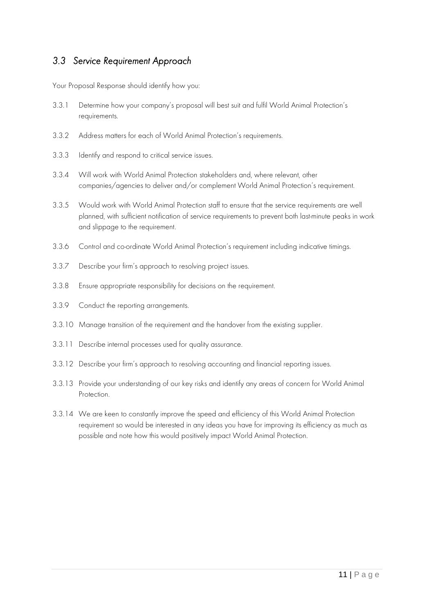### <span id="page-10-0"></span>*3.3 Service Requirement Approach*

Your Proposal Response should identify how you:

- 3.3.1 Determine how your company's proposal will best suit and fulfil World Animal Protection's requirements.
- 3.3.2 Address matters for each of World Animal Protection's requirements.
- 3.3.3 Identify and respond to critical service issues.
- 3.3.4 Will work with World Animal Protection stakeholders and, where relevant, other companies/agencies to deliver and/or complement World Animal Protection's requirement.
- 3.3.5 Would work with World Animal Protection staff to ensure that the service requirements are well planned, with sufficient notification of service requirements to prevent both last-minute peaks in work and slippage to the requirement.
- 3.3.6 Control and co-ordinate World Animal Protection's requirement including indicative timings.
- 3.3.7 Describe your firm's approach to resolving project issues.
- 3.3.8 Ensure appropriate responsibility for decisions on the requirement.
- 3.3.9 Conduct the reporting arrangements.
- 3.3.10 Manage transition of the requirement and the handover from the existing supplier.
- 3.3.11 Describe internal processes used for quality assurance.
- 3.3.12 Describe your firm's approach to resolving accounting and financial reporting issues.
- 3.3.13 Provide your understanding of our key risks and identify any areas of concern for World Animal Protection.
- 3.3.14 We are keen to constantly improve the speed and efficiency of this World Animal Protection requirement so would be interested in any ideas you have for improving its efficiency as much as possible and note how this would positively impact World Animal Protection.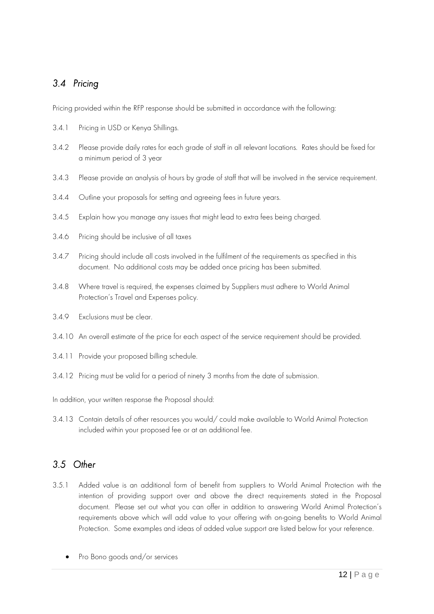# <span id="page-11-0"></span>*3.4 Pricing*

Pricing provided within the RFP response should be submitted in accordance with the following:

- 3.4.1 Pricing in USD or Kenya Shillings.
- 3.4.2 Please provide daily rates for each grade of staff in all relevant locations. Rates should be fixed for a minimum period of 3 year
- 3.4.3 Please provide an analysis of hours by grade of staff that will be involved in the service requirement.
- 3.4.4 Outline your proposals for setting and agreeing fees in future years.
- 3.4.5 Explain how you manage any issues that might lead to extra fees being charged.
- 3.4.6 Pricing should be inclusive of all taxes
- 3.4.7 Pricing should include all costs involved in the fulfilment of the requirements as specified in this document. No additional costs may be added once pricing has been submitted.
- 3.4.8 Where travel is required, the expenses claimed by Suppliers must adhere to World Animal Protection's Travel and Expenses policy.
- 3.4.9 Exclusions must be clear.
- 3.4.10 An overall estimate of the price for each aspect of the service requirement should be provided.
- 3.4.11 Provide your proposed billing schedule.
- 3.4.12 Pricing must be valid for a period of ninety 3 months from the date of submission.

In addition, your written response the Proposal should:

3.4.13 Contain details of other resources you would/ could make available to World Animal Protection included within your proposed fee or at an additional fee.

# <span id="page-11-1"></span>*3.5 Other*

- 3.5.1 Added value is an additional form of benefit from suppliers to World Animal Protection with the intention of providing support over and above the direct requirements stated in the Proposal document. Please set out what you can offer in addition to answering World Animal Protection's requirements above which will add value to your offering with on-going benefits to World Animal Protection. Some examples and ideas of added value support are listed below for your reference.
	- Pro Bono goods and/or services